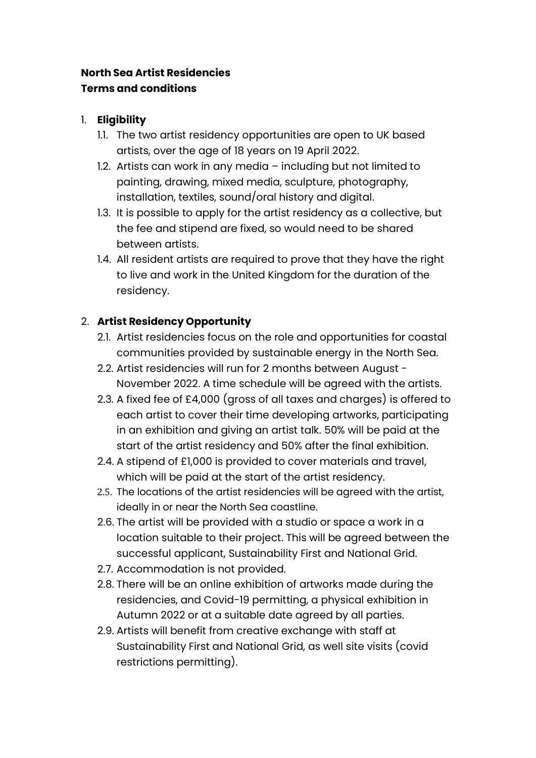# **North Sea Artist Residencies Terms and conditions**

### 1. **Eligibility**

- 1.1. The two artist residency opportunities are open to UK based artists, over the age of 18 years on 19 April 2022.
- 1.2. Artists can work in any media including but not limited to painting, drawing, mixed media, sculpture, photography, installation, textiles, sound/oral history and digital.
- 1.3. It is possible to apply for the artist residency as a collective, but the fee and stipend are fixed, so would need to be shared between artists.
- 1.4. All resident artists are required to prove that they have the right to live and work in the United Kingdom for the duration of the residency.

# 2. **Artist Residency Opportunity**

- 2.1. Artist residencies focus on the role and opportunities for coastal communities provided by sustainable energy in the North Sea.
- 2.2. Artist residencies will run for 2 months between August November 2022. A time schedule will be agreed with the artists.
- 2.3. A fixed fee of £4,000 (gross of all taxes and charges) is offered to each artist to cover their time developing artworks, participating in an exhibition and giving an artist talk. 50% will be paid at the start of the artist residency and 50% after the final exhibition.
- 2.4. A stipend of £1,000 is provided to cover materials and travel, which will be paid at the start of the artist residency.
- 2.5. The locations of the artist residencies will be agreed with the artist, ideally in or near the North Sea coastline.
- 2.6. The artist will be provided with a studio or space a work in a location suitable to their project. This will be agreed between the successful applicant, Sustainability First and National Grid.
- 2.7. Accommodation is not provided.
- 2.8. There will be an online exhibition of artworks made during the residencies, and Covid-19 permitting, a physical exhibition in Autumn 2022 or at a suitable date agreed by all parties.
- 2.9. Artists will benefit from creative exchange with staff at Sustainability First and National Grid, as well site visits (covid restrictions permitting).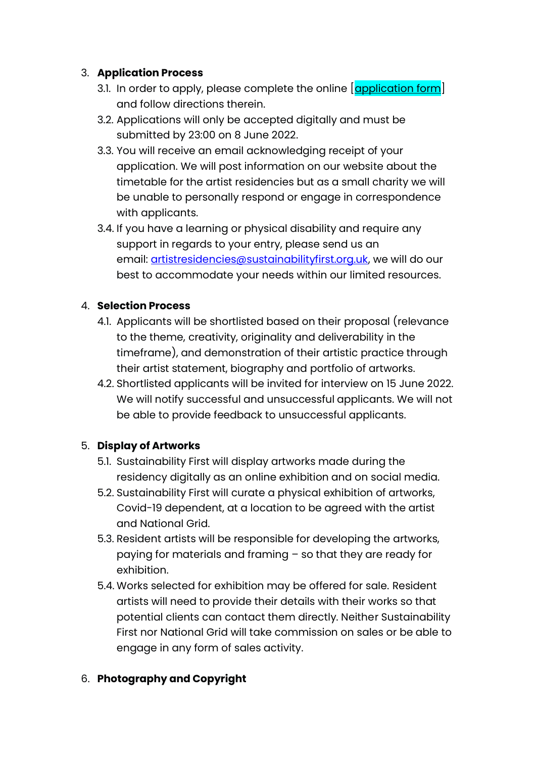## 3. **Application Process**

- 3.1. In order to apply, please complete the online  $\alpha$  application form and follow directions therein.
- 3.2. Applications will only be accepted digitally and must be submitted by 23:00 on 8 June 2022.
- 3.3. You will receive an email acknowledging receipt of your application. We will post information on our website about the timetable for the artist residencies but as a small charity we will be unable to personally respond or engage in correspondence with applicants.
- 3.4. If you have a learning or physical disability and require any support in regards to your entry, please send us an email: [artistresidencies@sustainabilityfirst.org.uk,](mailto:artistresidencies@sustainabilityfirst.org.uk) we will do our best to accommodate your needs within our limited resources.

### 4. **Selection Process**

- 4.1. Applicants will be shortlisted based on their proposal (relevance to the theme, creativity, originality and deliverability in the timeframe), and demonstration of their artistic practice through their artist statement, biography and portfolio of artworks.
- 4.2. Shortlisted applicants will be invited for interview on 15 June 2022. We will notify successful and unsuccessful applicants. We will not be able to provide feedback to unsuccessful applicants.

## 5. **Display of Artworks**

- 5.1. Sustainability First will display artworks made during the residency digitally as an online exhibition and on social media.
- 5.2. Sustainability First will curate a physical exhibition of artworks, Covid-19 dependent, at a location to be agreed with the artist and National Grid.
- 5.3. Resident artists will be responsible for developing the artworks, paying for materials and framing – so that they are ready for exhibition.
- 5.4. Works selected for exhibition may be offered for sale. Resident artists will need to provide their details with their works so that potential clients can contact them directly. Neither Sustainability First nor National Grid will take commission on sales or be able to engage in any form of sales activity.

#### 6. **Photography and Copyright**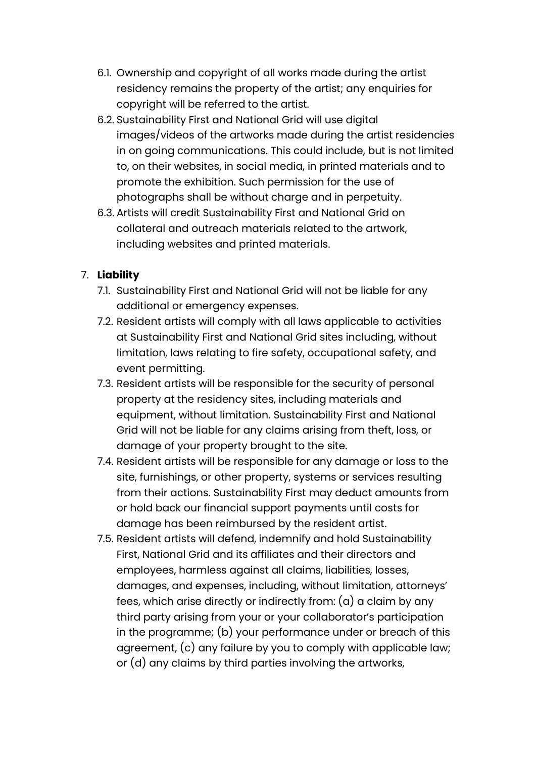- 6.1. Ownership and copyright of all works made during the artist residency remains the property of the artist; any enquiries for copyright will be referred to the artist.
- 6.2. Sustainability First and National Grid will use digital images/videos of the artworks made during the artist residencies in on going communications. This could include, but is not limited to, on their websites, in social media, in printed materials and to promote the exhibition. Such permission for the use of photographs shall be without charge and in perpetuity.
- 6.3. Artists will credit Sustainability First and National Grid on collateral and outreach materials related to the artwork, including websites and printed materials.

# 7. **Liability**

- 7.1. Sustainability First and National Grid will not be liable for any additional or emergency expenses.
- 7.2. Resident artists will comply with all laws applicable to activities at Sustainability First and National Grid sites including, without limitation, laws relating to fire safety, occupational safety, and event permitting.
- 7.3. Resident artists will be responsible for the security of personal property at the residency sites, including materials and equipment, without limitation. Sustainability First and National Grid will not be liable for any claims arising from theft, loss, or damage of your property brought to the site.
- 7.4. Resident artists will be responsible for any damage or loss to the site, furnishings, or other property, systems or services resulting from their actions. Sustainability First may deduct amounts from or hold back our financial support payments until costs for damage has been reimbursed by the resident artist.
- 7.5. Resident artists will defend, indemnify and hold Sustainability First, National Grid and its affiliates and their directors and employees, harmless against all claims, liabilities, losses, damages, and expenses, including, without limitation, attorneys' fees, which arise directly or indirectly from: (a) a claim by any third party arising from your or your collaborator's participation in the programme; (b) your performance under or breach of this agreement, (c) any failure by you to comply with applicable law; or (d) any claims by third parties involving the artworks,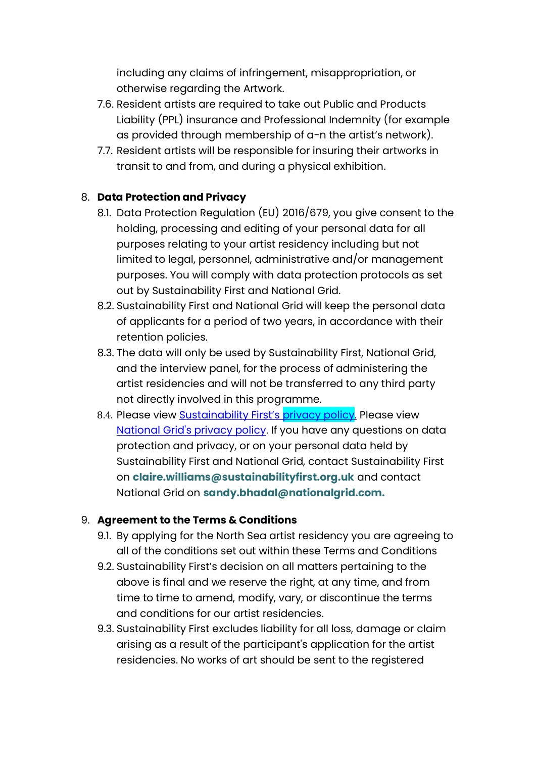including any claims of infringement, misappropriation, or otherwise regarding the Artwork.

- 7.6. Resident artists are required to take out Public and Products Liability (PPL) insurance and Professional Indemnity (for example as provided through membership of a-n the artist's network).
- 7.7. Resident artists will be responsible for insuring their artworks in transit to and from, and during a physical exhibition.

## 8. **Data Protection and Privacy**

- 8.1. Data Protection Regulation (EU) 2016/679, you give consent to the holding, processing and editing of your personal data for all purposes relating to your artist residency including but not limited to legal, personnel, administrative and/or management purposes. You will comply with data protection protocols as set out by Sustainability First and National Grid.
- 8.2. Sustainability First and National Grid will keep the personal data of applicants for a period of two years, in accordance with their retention policies.
- 8.3. The data will only be used by Sustainability First, National Grid, and the interview panel, for the process of administering the artist residencies and will not be transferred to any third party not directly involved in this programme.
- 8.4. Please view **[Sustainability First's](https://www.sustainabilityfirst.org.uk/images/assets/Privacy%20Policy%202021.pdf) privacy policy**. Please view [National Grid's privacy policy.](https://www.nationalgrid.com/privacy-policy) If you have any questions on data protection and privacy, or on your personal data held by Sustainability First and National Grid, contact Sustainability First on **[claire.williams@sustainabilityfirst.org.uk](mailto:claire.williams@sustainabilityfirst.org.uk)** and contact National Grid on **[sandy.bhadal@nationalgrid.com.](mailto:sandy.bhadal@nationalgrid.com.)**

#### 9. **Agreement to the Terms & Conditions**

- 9.1. By applying for the North Sea artist residency you are agreeing to all of the conditions set out within these Terms and Conditions
- 9.2. Sustainability First's decision on all matters pertaining to the above is final and we reserve the right, at any time, and from time to time to amend, modify, vary, or discontinue the terms and conditions for our artist residencies.
- 9.3. Sustainability First excludes liability for all loss, damage or claim arising as a result of the participant's application for the artist residencies. No works of art should be sent to the registered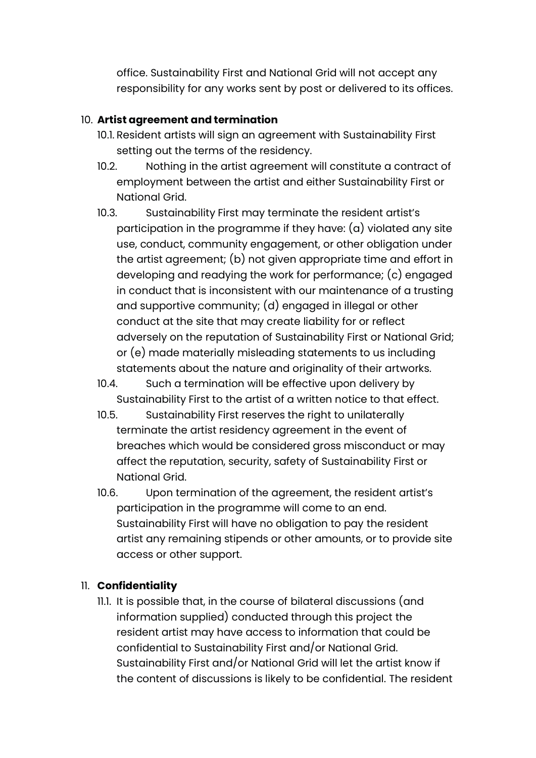office. Sustainability First and National Grid will not accept any responsibility for any works sent by post or delivered to its offices.

### 10. **Artist agreement and termination**

- 10.1. Resident artists will sign an agreement with Sustainability First setting out the terms of the residency.
- 10.2. Nothing in the artist agreement will constitute a contract of employment between the artist and either Sustainability First or National Grid.
- 10.3. Sustainability First may terminate the resident artist's participation in the programme if they have: (a) violated any site use, conduct, community engagement, or other obligation under the artist agreement; (b) not given appropriate time and effort in developing and readying the work for performance; (c) engaged in conduct that is inconsistent with our maintenance of a trusting and supportive community; (d) engaged in illegal or other conduct at the site that may create liability for or reflect adversely on the reputation of Sustainability First or National Grid; or (e) made materially misleading statements to us including statements about the nature and originality of their artworks.
- 10.4. Such a termination will be effective upon delivery by Sustainability First to the artist of a written notice to that effect.
- 10.5. Sustainability First reserves the right to unilaterally terminate the artist residency agreement in the event of breaches which would be considered gross misconduct or may affect the reputation, security, safety of Sustainability First or National Grid.
- 10.6. Upon termination of the agreement, the resident artist's participation in the programme will come to an end. Sustainability First will have no obligation to pay the resident artist any remaining stipends or other amounts, or to provide site access or other support.

## 11. **Confidentiality**

11.1. It is possible that, in the course of bilateral discussions (and information supplied) conducted through this project the resident artist may have access to information that could be confidential to Sustainability First and/or National Grid. Sustainability First and/or National Grid will let the artist know if the content of discussions is likely to be confidential. The resident